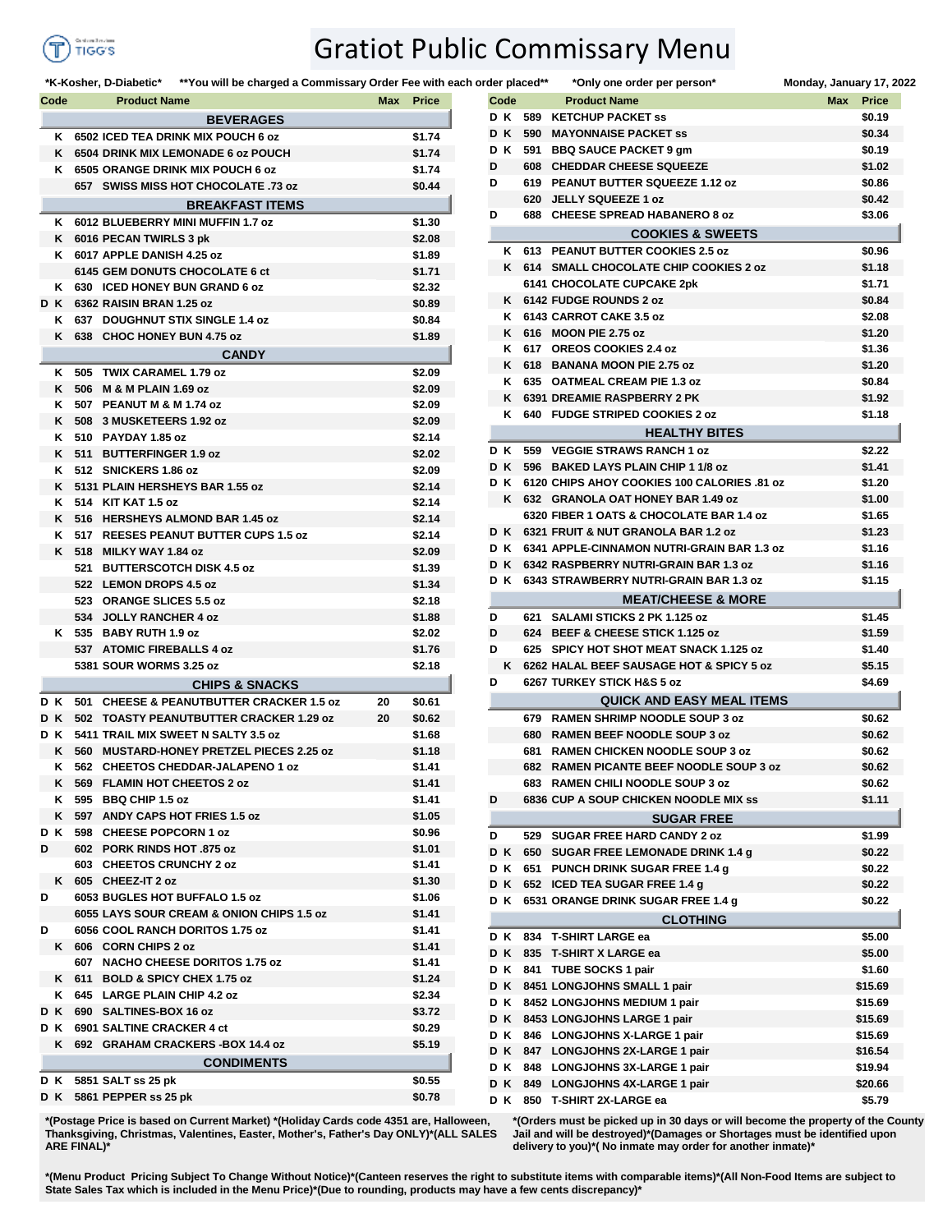

## Gratiot Public Commissary Menu

**\*K-Kosher, D-Diabetic\*** \*\*You will be charged a Commissary Order Fee with each or **Code Product Name Max Price Code Product Name Max Price BEVERAGES SUNK 6502 ICED TEA DRINK MIX POUCH 6 oz \$1.74 SUNK 6504 DRINK MIX LEMONADE 6 oz POUCH \$1.74 SUNK 6505 ORANGE DRINK MIX POUCH 6 oz \$1.74 SUN 657 SWISS MISS HOT CHOCOLATE .73 oz \$0.44 BREAKFAST ITEMS SUNK 6012 BLUEBERRY MINI MUFFIN 1.7 oz \$1.30 SUNK 6016 PECAN TWIRLS 3 pk \$2.08 SUNK 6017 APPLE DANISH 4.25 oz \$1.89 SUN 6145 GEM DONUTS CHOCOLATE 6 ct \$1.71 SUNK 630 ICED HONEY BUN GRAND 6 oz \$2.32 SUN D K 6362 RAISIN BRAN 1.25 oz \$0.89 SUNK 637 DOUGHNUT STIX SINGLE 1.4 oz \$0.84 SUNK 638 CHOC HONEY BUN 4.75 oz \$1.89 CANDY SUNK 505 TWIX CARAMEL 1.79 oz \$2.09 SUNK 506 M & M PLAIN 1.69 oz \$2.09 SUNK 507 PEANUT M & M 1.74 oz \$2.09 SUNK 508 3 MUSKETEERS 1.92 oz \$2.09 SUNK 510 PAYDAY 1.85 oz \$2.14 SUNK 511 BUTTERFINGER 1.9 oz \$2.02 SUNK 512 SNICKERS 1.86 oz \$2.09 SUNK 5131 PLAIN HERSHEYS BAR 1.55 oz \$2.14 SUNK 514 KIT KAT 1.5 oz \$2.14 SUNK 516 HERSHEYS ALMOND BAR 1.45 oz \$2.14 SUNK 517 REESES PEANUT BUTTER CUPS 1.5 oz \$2.14 SUNK 518 MILKY WAY 1.84 oz \$2.09 SUN 521 BUTTERSCOTCH DISK 4.5 oz \$1.39 SUN 522 LEMON DROPS 4.5 oz \$1.34 SUN 523 ORANGE SLICES 5.5 oz \$2.18 SUN 534 JOLLY RANCHER 4 oz \$1.88 SUNK 535 BABY RUTH 1.9 oz \$2.02 SUN 537 ATOMIC FIREBALLS 4 oz \$1.76 SUN 5381 SOUR WORMS 3.25 oz \$2.18 CHIPS & SNACKS SUN D K 501 CHEESE & PEANUTBUTTER CRACKER 1.5 oz 20 \$0.61 SUN D K 502 TOASTY PEANUTBUTTER CRACKER 1.29 oz 20 \$0.62 SUN D K 5411 TRAIL MIX SWEET N SALTY 3.5 oz \$1.68 SUNK 560 MUSTARD-HONEY PRETZEL PIECES 2.25 oz \$1.18 SUNK 562 CHEETOS CHEDDAR-JALAPENO 1 oz \$1.41 SUNK 569 FLAMIN HOT CHEETOS 2 oz \$1.41 SUNK 595 BBQ CHIP 1.5 oz \$1.41 SUNK 597 ANDY CAPS HOT FRIES 1.5 oz \$1.05 SUN D K 598 CHEESE POPCORN 1 oz \$0.96 SUN D 602 PORK RINDS HOT .875 oz \$1.01 SUN 603 CHEETOS CRUNCHY 2 oz \$1.41 SUNK 605 CHEEZ-IT 2 oz \$1.30 SUN D 6053 BUGLES HOT BUFFALO 1.5 oz \$1.06 SUN 6055 LAYS SOUR CREAM & ONION CHIPS 1.5 oz \$1.41 SUN D 6056 COOL RANCH DORITOS 1.75 oz \$1.41 SUNK 606 CORN CHIPS 2 oz \$1.41 SUN 607 NACHO CHEESE DORITOS 1.75 oz \$1.41 SUNK 611 BOLD & SPICY CHEX 1.75 oz \$1.24 SUNK 645 LARGE PLAIN CHIP 4.2 oz \$2.34 SUN D K 690 SALTINES-BOX 16 oz \$3.72 SUN D K 6901 SALTINE CRACKER 4 ct \$0.29 SUNK 692 GRAHAM CRACKERS -BOX 14.4 oz \$5.19 CONDIMENTS SUN D K 5851 SALT ss 25 pk \$0.55 SUN D K 5861 PEPPER ss 25 pk \$0.78**

|                             |   | der placed** | *Only one order per person*                 | Monday, January 17, 2022 |              |  |  |  |  |
|-----------------------------|---|--------------|---------------------------------------------|--------------------------|--------------|--|--|--|--|
| Code                        |   |              | <b>Product Name</b>                         | <b>Max</b>               | <b>Price</b> |  |  |  |  |
|                             |   |              | D K 589 KETCHUP PACKET ss                   |                          | \$0.19       |  |  |  |  |
| DK.                         |   |              | 590 MAYONNAISE PACKET SS                    |                          | \$0.34       |  |  |  |  |
| DK.                         |   | 591          | <b>BBQ SAUCE PACKET 9 gm</b>                |                          | \$0.19       |  |  |  |  |
| D                           |   |              | 608 CHEDDAR CHEESE SQUEEZE                  |                          | \$1.02       |  |  |  |  |
| D                           |   |              | 619 PEANUT BUTTER SQUEEZE 1.12 oz           |                          | \$0.86       |  |  |  |  |
|                             |   |              | 620 JELLY SQUEEZE 1 oz                      |                          | \$0.42       |  |  |  |  |
| D                           |   |              | 688 CHEESE SPREAD HABANERO 8 oz             |                          | \$3.06       |  |  |  |  |
| <b>COOKIES &amp; SWEETS</b> |   |              |                                             |                          |              |  |  |  |  |
|                             | Κ | 613          | <b>PEANUT BUTTER COOKIES 2.5 oz</b>         |                          | \$0.96       |  |  |  |  |
|                             | Κ |              | 614 SMALL CHOCOLATE CHIP COOKIES 2 oz       |                          | \$1.18       |  |  |  |  |
|                             |   |              | 6141 CHOCOLATE CUPCAKE 2pk                  |                          | \$1.71       |  |  |  |  |
|                             | Κ |              | 6142 FUDGE ROUNDS 2 oz                      |                          | \$0.84       |  |  |  |  |
|                             | Κ |              | 6143 CARROT CAKE 3.5 oz                     |                          | \$2.08       |  |  |  |  |
|                             | Κ | 616          | <b>MOON PIE 2.75 oz</b>                     |                          | \$1.20       |  |  |  |  |
|                             | Κ |              | 617 OREOS COOKIES 2.4 oz                    |                          | \$1.36       |  |  |  |  |
|                             | Κ |              | 618 BANANA MOON PIE 2.75 oz                 |                          | \$1.20       |  |  |  |  |
|                             | Κ |              | 635 OATMEAL CREAM PIE 1.3 oz                |                          | \$0.84       |  |  |  |  |
|                             | κ |              | 6391 DREAMIE RASPBERRY 2 PK                 |                          | \$1.92       |  |  |  |  |
|                             | κ |              | 640 FUDGE STRIPED COOKIES 2 oz              |                          | \$1.18       |  |  |  |  |
|                             |   |              | <b>HEALTHY BITES</b>                        |                          |              |  |  |  |  |
| D K                         |   |              | 559 VEGGIE STRAWS RANCH 1 oz                |                          | \$2.22       |  |  |  |  |
| D K                         |   |              | 596 BAKED LAYS PLAIN CHIP 1 1/8 oz          |                          | \$1.41       |  |  |  |  |
| D K                         |   |              | 6120 CHIPS AHOY COOKIES 100 CALORIES .81 oz |                          | \$1.20       |  |  |  |  |
|                             | κ |              | 632 GRANOLA OAT HONEY BAR 1.49 oz           |                          | \$1.00       |  |  |  |  |
|                             |   |              | 6320 FIBER 1 OATS & CHOCOLATE BAR 1.4 oz    |                          | \$1.65       |  |  |  |  |
| D K                         |   |              | 6321 FRUIT & NUT GRANOLA BAR 1.2 oz         |                          | \$1.23       |  |  |  |  |
| D K                         |   |              | 6341 APPLE-CINNAMON NUTRI-GRAIN BAR 1.3 oz  |                          | \$1.16       |  |  |  |  |
| D K                         |   |              | 6342 RASPBERRY NUTRI-GRAIN BAR 1.3 oz       |                          | \$1.16       |  |  |  |  |
| D K                         |   |              | 6343 STRAWBERRY NUTRI-GRAIN BAR 1.3 oz      |                          | \$1.15       |  |  |  |  |
|                             |   |              | <b>MEAT/CHEESE &amp; MORE</b>               |                          |              |  |  |  |  |
| D                           |   | 621          | SALAMI STICKS 2 PK 1.125 oz                 |                          | \$1.45       |  |  |  |  |
| D                           |   |              | 624 BEEF & CHEESE STICK 1.125 oz            |                          | \$1.59       |  |  |  |  |
| D                           |   |              | 625 SPICY HOT SHOT MEAT SNACK 1.125 oz      |                          | \$1.40       |  |  |  |  |
|                             | Κ |              | 6262 HALAL BEEF SAUSAGE HOT & SPICY 5 oz    |                          | \$5.15       |  |  |  |  |
| D                           |   |              | 6267 TURKEY STICK H&S 5 oz                  |                          | \$4.69       |  |  |  |  |
|                             |   |              | <b>QUICK AND EASY MEAL ITEMS</b>            |                          |              |  |  |  |  |
|                             |   |              | 679 RAMEN SHRIMP NOODLE SOUP 3 oz           |                          | \$0.62       |  |  |  |  |
|                             |   |              | 680 RAMEN BEEF NOODLE SOUP 3 oz             |                          | \$0.62       |  |  |  |  |
|                             |   | 681          | <b>RAMEN CHICKEN NOODLE SOUP 3 oz</b>       |                          | \$0.62       |  |  |  |  |
|                             |   |              | 682 RAMEN PICANTE BEEF NOODLE SOUP 3 oz     |                          | \$0.62       |  |  |  |  |
|                             |   |              | 683 RAMEN CHILI NOODLE SOUP 3 oz            |                          | \$0.62       |  |  |  |  |
| D                           |   |              | 6836 CUP A SOUP CHICKEN NOODLE MIX SS       |                          | \$1.11       |  |  |  |  |
|                             |   |              | <b>SUGAR FREE</b>                           |                          |              |  |  |  |  |
| D                           |   | 529          | <b>SUGAR FREE HARD CANDY 2 oz</b>           |                          | \$1.99       |  |  |  |  |
| DK                          |   |              | 650 SUGAR FREE LEMONADE DRINK 1.4 g         |                          | \$0.22       |  |  |  |  |
| D K                         |   |              | 651 PUNCH DRINK SUGAR FREE 1.4 g            |                          | \$0.22       |  |  |  |  |
| D K                         |   |              | 652 ICED TEA SUGAR FREE 1.4 g               |                          | \$0.22       |  |  |  |  |
| DК                          |   |              | 6531 ORANGE DRINK SUGAR FREE 1.4 g          |                          | \$0.22       |  |  |  |  |
|                             |   |              | <b>CLOTHING</b>                             |                          |              |  |  |  |  |
| D K                         |   |              | 834 T-SHIRT LARGE ea                        |                          | \$5.00       |  |  |  |  |
| D K                         |   |              | 835 T-SHIRT X LARGE ea                      |                          | \$5.00       |  |  |  |  |
| D K                         |   | 841          |                                             |                          |              |  |  |  |  |
|                             |   |              | <b>TUBE SOCKS 1 pair</b>                    |                          | \$1.60       |  |  |  |  |
| D K                         |   |              | 8451 LONGJOHNS SMALL 1 pair                 |                          | \$15.69      |  |  |  |  |
| D K                         |   |              | 8452 LONGJOHNS MEDIUM 1 pair                |                          | \$15.69      |  |  |  |  |
| D K                         |   |              | 8453 LONGJOHNS LARGE 1 pair                 |                          | \$15.69      |  |  |  |  |
| D K                         |   |              | 846 LONGJOHNS X-LARGE 1 pair                |                          | \$15.69      |  |  |  |  |
| D K                         |   |              | 847 LONGJOHNS 2X-LARGE 1 pair               |                          | \$16.54      |  |  |  |  |
| D K                         |   |              | 848 LONGJOHNS 3X-LARGE 1 pair               |                          | \$19.94      |  |  |  |  |
| D K                         |   |              | 849 LONGJOHNS 4X-LARGE 1 pair               |                          | \$20.66      |  |  |  |  |
| DК                          |   |              | 850 T-SHIRT 2X-LARGE ea                     |                          | \$5.79       |  |  |  |  |

**\*(Postage Price is based on Current Market) \*(Holiday Cards code 4351 are, Halloween, Thanksgiving, Christmas, Valentines, Easter, Mother's, Father's Day ONLY)\*(ALL SALES ARE FINAL)\***

**\*(Orders must be picked up in 30 days or will become the property of the County Jail and will be destroyed)\*(Damages or Shortages must be identified upon delivery to you)\*( No inmate may order for another inmate)\***

**\*(Menu Product Pricing Subject To Change Without Notice)\*(Canteen reserves the right to substitute items with comparable items)\*(All Non-Food Items are subject to State Sales Tax which is included in the Menu Price)\*(Due to rounding, products may have a few cents discrepancy)\***